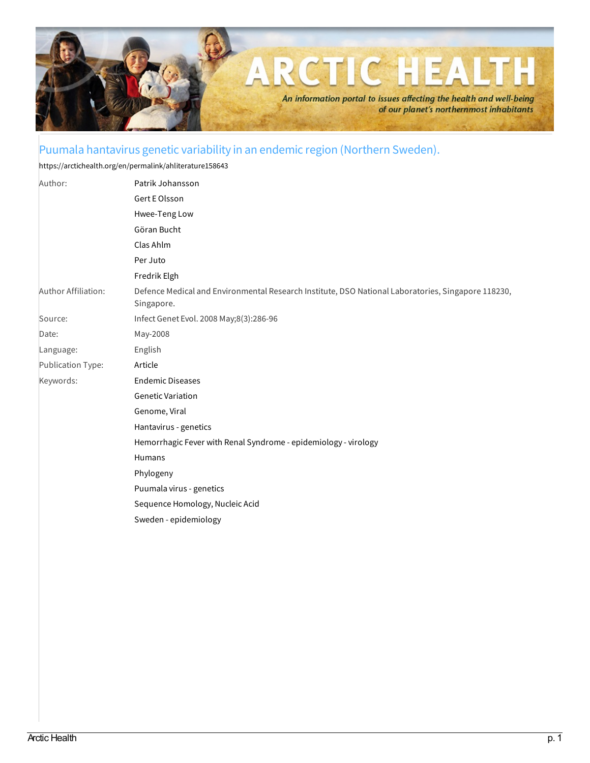

## Puumala hantavirus genetic variability in an endemic region (Northern Sweden).

<https://arctichealth.org/en/permalink/ahliterature158643>

| Author:             | Patrik Johansson                                                                                                 |
|---------------------|------------------------------------------------------------------------------------------------------------------|
|                     | Gert E Olsson                                                                                                    |
|                     | Hwee-Teng Low                                                                                                    |
|                     | Göran Bucht                                                                                                      |
|                     | Clas Ahlm                                                                                                        |
|                     | Per Juto                                                                                                         |
|                     | Fredrik Elgh                                                                                                     |
| Author Affiliation: | Defence Medical and Environmental Research Institute, DSO National Laboratories, Singapore 118230,<br>Singapore. |
| Source:             | Infect Genet Evol. 2008 May;8(3):286-96                                                                          |
| Date:               | May-2008                                                                                                         |
| Language:           | English                                                                                                          |
| Publication Type:   | Article                                                                                                          |
| Keywords:           | <b>Endemic Diseases</b>                                                                                          |
|                     | <b>Genetic Variation</b>                                                                                         |
|                     | Genome, Viral                                                                                                    |
|                     | Hantavirus - genetics                                                                                            |
|                     | Hemorrhagic Fever with Renal Syndrome - epidemiology - virology                                                  |
|                     | Humans                                                                                                           |
|                     | Phylogeny                                                                                                        |
|                     | Puumala virus - genetics                                                                                         |
|                     | Sequence Homology, Nucleic Acid                                                                                  |
|                     | Sweden - epidemiology                                                                                            |